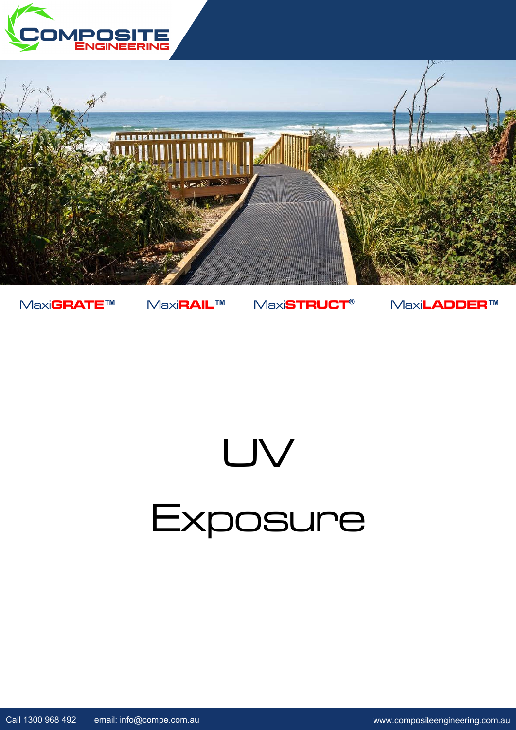



Maxi**GRATE™** Maxi**RAIL™** Maxi**STRUCT®** Maxi**LADDER™**

## UV **Exposure**